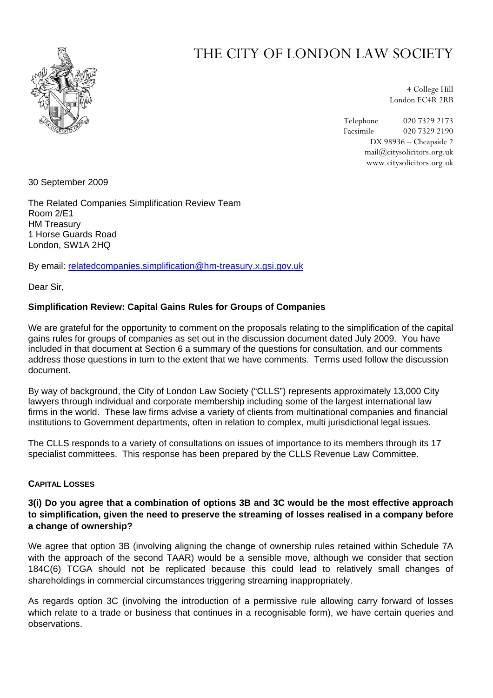

# THE CITY OF LONDON LAW SOCIETY

4 College Hill London EC4R 2RB

Telephone 020 7329 2173 Facsimile 020 7329 2190 DX 98936 – Cheapside 2 mail@citysolicitors.org.uk www.citysolicitors.org.uk

30 September 2009

The Related Companies Simplification Review Team Room 2/E1 HM Treasury 1 Horse Guards Road London, SW1A 2HQ

By email: [relatedcompanies.simplification@hm-treasury.x.gsi.gov.uk](mailto:relatedcompanies.simplification@hm-treasury.x.gsi.gov.uk)

Dear Sir,

#### **Simplification Review: Capital Gains Rules for Groups of Companies**

We are grateful for the opportunity to comment on the proposals relating to the simplification of the capital gains rules for groups of companies as set out in the discussion document dated July 2009. You have included in that document at Section 6 a summary of the questions for consultation, and our comments address those questions in turn to the extent that we have comments. Terms used follow the discussion document.

By way of background, the City of London Law Society ("CLLS") represents approximately 13,000 City lawyers through individual and corporate membership including some of the largest international law firms in the world. These law firms advise a variety of clients from multinational companies and financial institutions to Government departments, often in relation to complex, multi jurisdictional legal issues.

The CLLS responds to a variety of consultations on issues of importance to its members through its 17 specialist committees. This response has been prepared by the CLLS Revenue Law Committee.

#### **CAPITAL LOSSES**

# **3(i) Do you agree that a combination of options 3B and 3C would be the most effective approach to simplification, given the need to preserve the streaming of losses realised in a company before a change of ownership?**

We agree that option 3B (involving aligning the change of ownership rules retained within Schedule 7A with the approach of the second TAAR) would be a sensible move, although we consider that section 184C(6) TCGA should not be replicated because this could lead to relatively small changes of shareholdings in commercial circumstances triggering streaming inappropriately.

As regards option 3C (involving the introduction of a permissive rule allowing carry forward of losses which relate to a trade or business that continues in a recognisable form), we have certain queries and observations.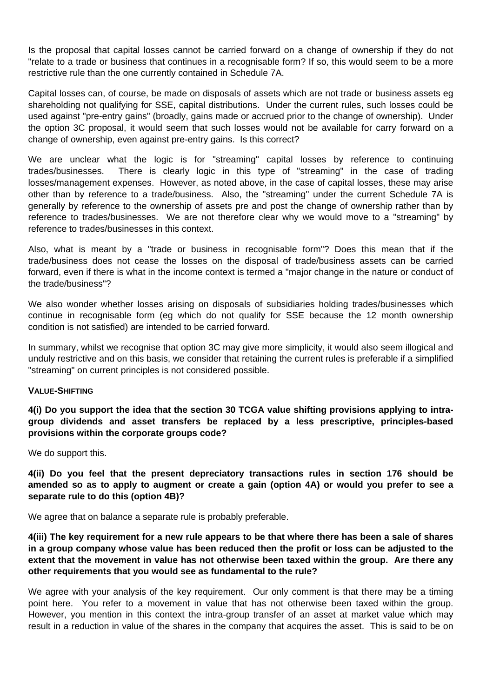Is the proposal that capital losses cannot be carried forward on a change of ownership if they do not "relate to a trade or business that continues in a recognisable form? If so, this would seem to be a more restrictive rule than the one currently contained in Schedule 7A.

Capital losses can, of course, be made on disposals of assets which are not trade or business assets eg shareholding not qualifying for SSE, capital distributions. Under the current rules, such losses could be used against "pre-entry gains" (broadly, gains made or accrued prior to the change of ownership). Under the option 3C proposal, it would seem that such losses would not be available for carry forward on a change of ownership, even against pre-entry gains. Is this correct?

We are unclear what the logic is for "streaming" capital losses by reference to continuing trades/businesses. There is clearly logic in this type of "streaming" in the case of trading losses/management expenses. However, as noted above, in the case of capital losses, these may arise other than by reference to a trade/business. Also, the "streaming" under the current Schedule 7A is generally by reference to the ownership of assets pre and post the change of ownership rather than by reference to trades/businesses. We are not therefore clear why we would move to a "streaming" by reference to trades/businesses in this context.

Also, what is meant by a "trade or business in recognisable form"? Does this mean that if the trade/business does not cease the losses on the disposal of trade/business assets can be carried forward, even if there is what in the income context is termed a "major change in the nature or conduct of the trade/business"?

We also wonder whether losses arising on disposals of subsidiaries holding trades/businesses which continue in recognisable form (eg which do not qualify for SSE because the 12 month ownership condition is not satisfied) are intended to be carried forward.

In summary, whilst we recognise that option 3C may give more simplicity, it would also seem illogical and unduly restrictive and on this basis, we consider that retaining the current rules is preferable if a simplified "streaming" on current principles is not considered possible.

#### **VALUE-SHIFTING**

**4(i) Do you support the idea that the section 30 TCGA value shifting provisions applying to intragroup dividends and asset transfers be replaced by a less prescriptive, principles-based provisions within the corporate groups code?**

We do support this.

**4(ii) Do you feel that the present depreciatory transactions rules in section 176 should be amended so as to apply to augment or create a gain (option 4A) or would you prefer to see a separate rule to do this (option 4B)?**

We agree that on balance a separate rule is probably preferable.

**4(iii) The key requirement for a new rule appears to be that where there has been a sale of shares in a group company whose value has been reduced then the profit or loss can be adjusted to the extent that the movement in value has not otherwise been taxed within the group. Are there any other requirements that you would see as fundamental to the rule?**

We agree with your analysis of the key requirement. Our only comment is that there may be a timing point here. You refer to a movement in value that has not otherwise been taxed within the group. However, you mention in this context the intra-group transfer of an asset at market value which may result in a reduction in value of the shares in the company that acquires the asset. This is said to be on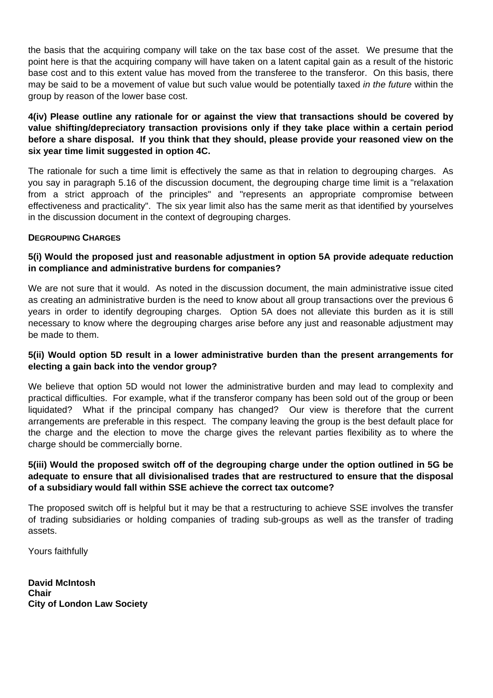the basis that the acquiring company will take on the tax base cost of the asset. We presume that the point here is that the acquiring company will have taken on a latent capital gain as a result of the historic base cost and to this extent value has moved from the transferee to the transferor. On this basis, there may be said to be a movement of value but such value would be potentially taxed *in the future* within the group by reason of the lower base cost.

# **4(iv) Please outline any rationale for or against the view that transactions should be covered by value shifting/depreciatory transaction provisions only if they take place within a certain period before a share disposal. If you think that they should, please provide your reasoned view on the six year time limit suggested in option 4C.**

The rationale for such a time limit is effectively the same as that in relation to degrouping charges. As you say in paragraph 5.16 of the discussion document, the degrouping charge time limit is a "relaxation from a strict approach of the principles" and "represents an appropriate compromise between effectiveness and practicality". The six year limit also has the same merit as that identified by yourselves in the discussion document in the context of degrouping charges.

## **DEGROUPING CHARGES**

# **5(i) Would the proposed just and reasonable adjustment in option 5A provide adequate reduction in compliance and administrative burdens for companies?**

We are not sure that it would. As noted in the discussion document, the main administrative issue cited as creating an administrative burden is the need to know about all group transactions over the previous 6 years in order to identify degrouping charges. Option 5A does not alleviate this burden as it is still necessary to know where the degrouping charges arise before any just and reasonable adjustment may be made to them.

# **5(ii) Would option 5D result in a lower administrative burden than the present arrangements for electing a gain back into the vendor group?**

We believe that option 5D would not lower the administrative burden and may lead to complexity and practical difficulties. For example, what if the transferor company has been sold out of the group or been liquidated? What if the principal company has changed? Our view is therefore that the current arrangements are preferable in this respect. The company leaving the group is the best default place for the charge and the election to move the charge gives the relevant parties flexibility as to where the charge should be commercially borne.

# **5(iii) Would the proposed switch off of the degrouping charge under the option outlined in 5G be adequate to ensure that all divisionalised trades that are restructured to ensure that the disposal of a subsidiary would fall within SSE achieve the correct tax outcome?**

The proposed switch off is helpful but it may be that a restructuring to achieve SSE involves the transfer of trading subsidiaries or holding companies of trading sub-groups as well as the transfer of trading assets.

Yours faithfully

**David McIntosh Chair City of London Law Society**